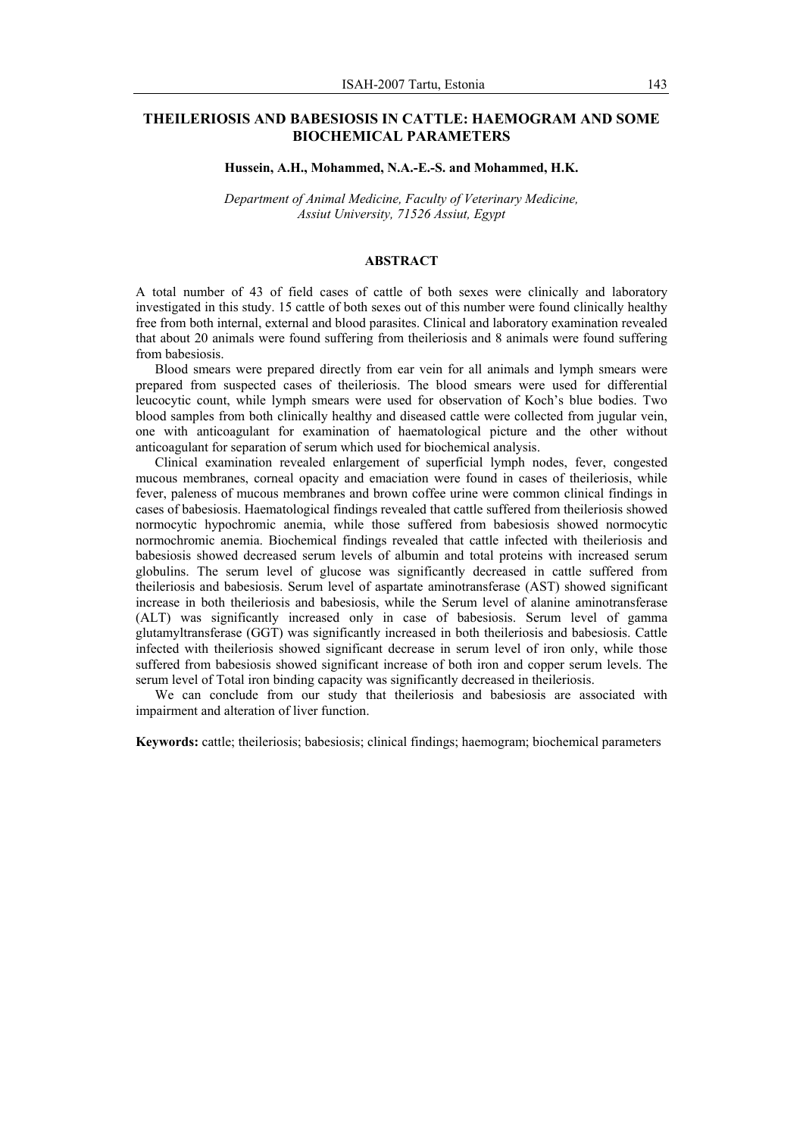# **THEILERIOSIS AND BABESIOSIS IN CATTLE: HAEMOGRAM AND SOME BIOCHEMICAL PARAMETERS**

#### **Hussein, A.H., Mohammed, N.A.-E.-S. and Mohammed, H.K.**

*Department of Animal Medicine, Faculty of Veterinary Medicine, Assiut University, 71526 Assiut, Egypt* 

### **ABSTRACT**

A total number of 43 of field cases of cattle of both sexes were clinically and laboratory investigated in this study. 15 cattle of both sexes out of this number were found clinically healthy free from both internal, external and blood parasites. Clinical and laboratory examination revealed that about 20 animals were found suffering from theileriosis and 8 animals were found suffering from babesiosis.

Blood smears were prepared directly from ear vein for all animals and lymph smears were prepared from suspected cases of theileriosis. The blood smears were used for differential leucocytic count, while lymph smears were used for observation of Koch's blue bodies. Two blood samples from both clinically healthy and diseased cattle were collected from jugular vein, one with anticoagulant for examination of haematological picture and the other without anticoagulant for separation of serum which used for biochemical analysis.

Clinical examination revealed enlargement of superficial lymph nodes, fever, congested mucous membranes, corneal opacity and emaciation were found in cases of theileriosis, while fever, paleness of mucous membranes and brown coffee urine were common clinical findings in cases of babesiosis. Haematological findings revealed that cattle suffered from theileriosis showed normocytic hypochromic anemia, while those suffered from babesiosis showed normocytic normochromic anemia. Biochemical findings revealed that cattle infected with theileriosis and babesiosis showed decreased serum levels of albumin and total proteins with increased serum globulins. The serum level of glucose was significantly decreased in cattle suffered from theileriosis and babesiosis. Serum level of aspartate aminotransferase (AST) showed significant increase in both theileriosis and babesiosis, while the Serum level of alanine aminotransferase (ALT) was significantly increased only in case of babesiosis. Serum level of gamma glutamyltransferase (GGT) was significantly increased in both theileriosis and babesiosis. Cattle infected with theileriosis showed significant decrease in serum level of iron only, while those suffered from babesiosis showed significant increase of both iron and copper serum levels. The serum level of Total iron binding capacity was significantly decreased in theileriosis.

We can conclude from our study that theileriosis and babesiosis are associated with impairment and alteration of liver function.

**Keywords:** cattle; theileriosis; babesiosis; clinical findings; haemogram; biochemical parameters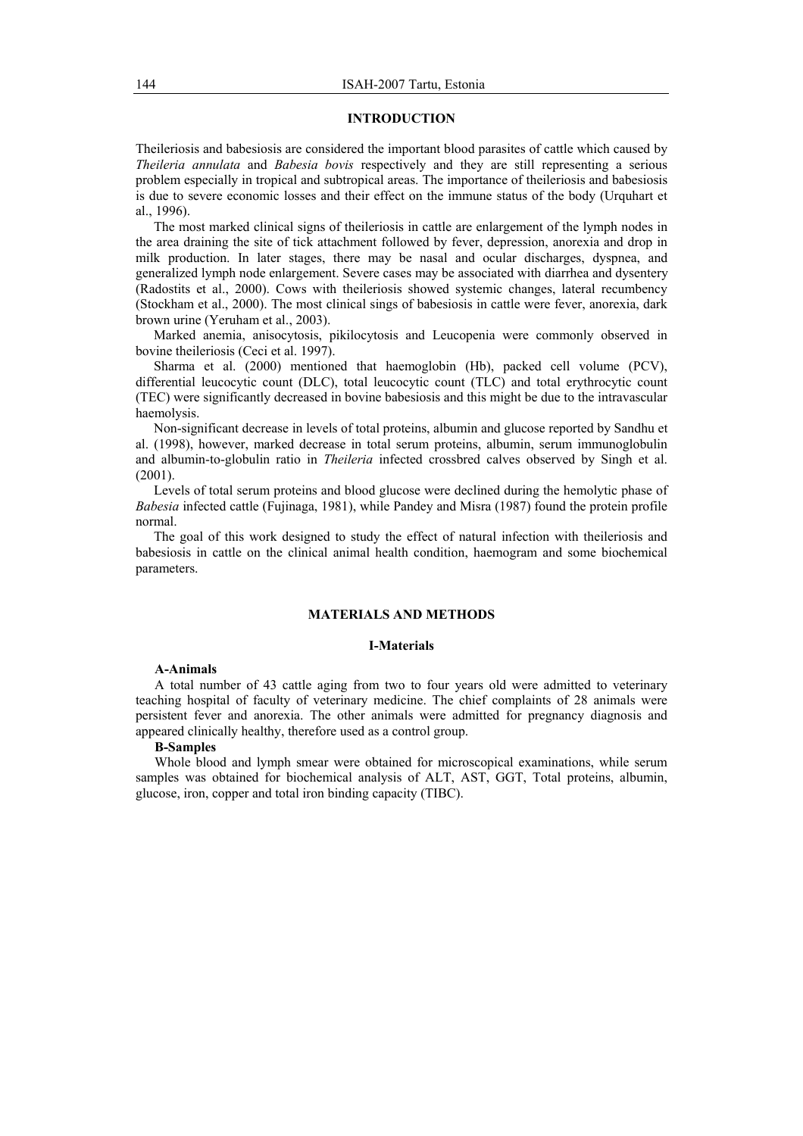### **INTRODUCTION**

Theileriosis and babesiosis are considered the important blood parasites of cattle which caused by *Theileria annulata* and *Babesia bovis* respectively and they are still representing a serious problem especially in tropical and subtropical areas. The importance of theileriosis and babesiosis is due to severe economic losses and their effect on the immune status of the body (Urquhart et al. 1996).

The most marked clinical signs of theileriosis in cattle are enlargement of the lymph nodes in the area draining the site of tick attachment followed by fever, depression, anorexia and drop in milk production. In later stages, there may be nasal and ocular discharges, dyspnea, and generalized lymph node enlargement. Severe cases may be associated with diarrhea and dysentery (Radostits et al., 2000). Cows with theileriosis showed systemic changes, lateral recumbency (Stockham et al., 2000). The most clinical sings of babesiosis in cattle were fever, anorexia, dark brown urine (Yeruham et al., 2003).

Marked anemia, anisocytosis, pikilocytosis and Leucopenia were commonly observed in bovine theileriosis (Ceci et al. 1997).

Sharma et al. (2000) mentioned that haemoglobin (Hb), packed cell volume (PCV), differential leucocytic count (DLC), total leucocytic count (TLC) and total erythrocytic count (TEC) were significantly decreased in bovine babesiosis and this might be due to the intravascular haemolysis.

Non-significant decrease in levels of total proteins, albumin and glucose reported by Sandhu et al. (1998), however, marked decrease in total serum proteins, albumin, serum immunoglobulin and albumin-to-globulin ratio in *Theileria* infected crossbred calves observed by Singh et al.  $(2001)$ .

Levels of total serum proteins and blood glucose were declined during the hemolytic phase of *Babesia* infected cattle (Fujinaga, 1981), while Pandey and Misra (1987) found the protein profile normal.

The goal of this work designed to study the effect of natural infection with theileriosis and babesiosis in cattle on the clinical animal health condition, haemogram and some biochemical parameters.

## **MATERIALS AND METHODS**

#### **І-Materials**

#### **A-Animals**

A total number of 43 cattle aging from two to four years old were admitted to veterinary teaching hospital of faculty of veterinary medicine. The chief complaints of 28 animals were persistent fever and anorexia. The other animals were admitted for pregnancy diagnosis and appeared clinically healthy, therefore used as a control group.

#### **B-Samples**

Whole blood and lymph smear were obtained for microscopical examinations, while serum samples was obtained for biochemical analysis of ALT, AST, GGT, Total proteins, albumin, glucose, iron, copper and total iron binding capacity (TIBC).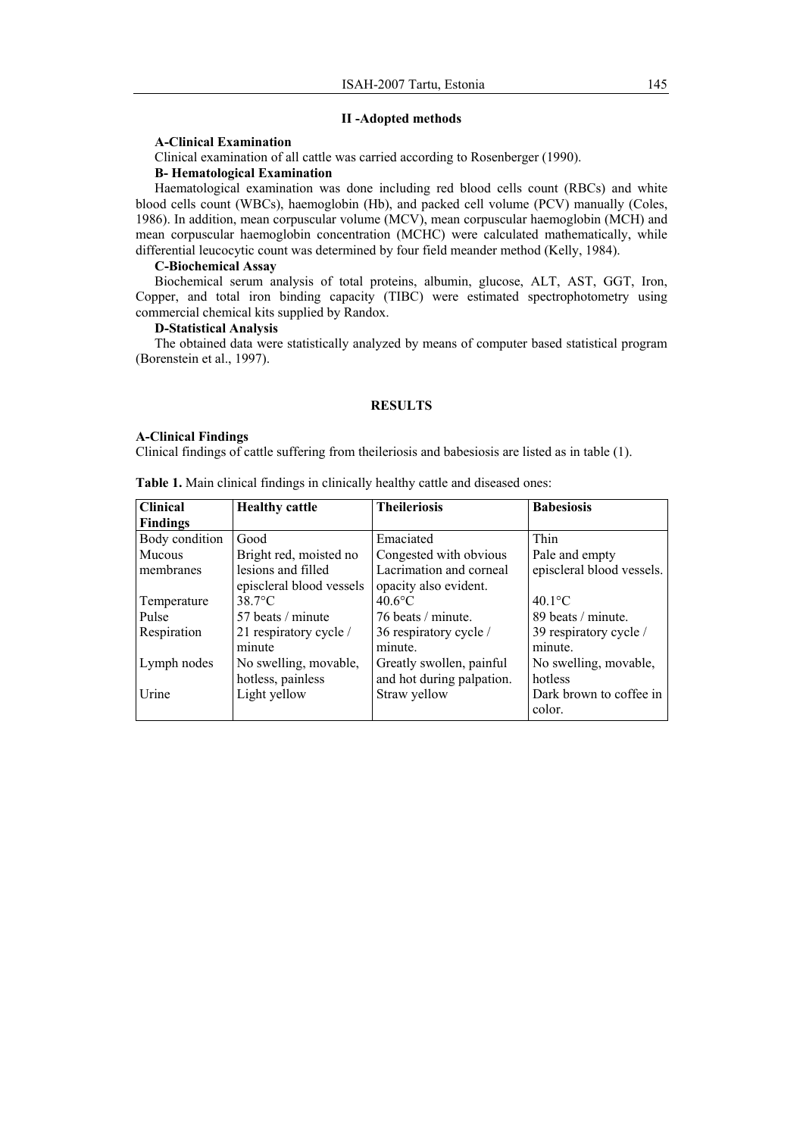# **ІІ -Adopted methods**

# **A-Clinical Examination**

Clinical examination of all cattle was carried according to Rosenberger (1990).

# **B- Hematological Examination**

Haematological examination was done including red blood cells count (RBCs) and white blood cells count (WBCs), haemoglobin (Hb), and packed cell volume (PCV) manually (Coles, 1986). In addition, mean corpuscular volume (MCV), mean corpuscular haemoglobin (MCH) and mean corpuscular haemoglobin concentration (MCHC) were calculated mathematically, while differential leucocytic count was determined by four field meander method (Kelly, 1984).

### **C-Biochemical Assay**

Biochemical serum analysis of total proteins, albumin, glucose, ALT, AST, GGT, Iron, Copper, and total iron binding capacity (TIBC) were estimated spectrophotometry using commercial chemical kits supplied by Randox.

# **D-Statistical Analysis**

The obtained data were statistically analyzed by means of computer based statistical program (Borenstein et al., 1997).

# **RESULTS**

# **A-Clinical Findings**

Clinical findings of cattle suffering from theileriosis and babesiosis are listed as in table (1).

| <b>Clinical</b> | <b>Healthy cattle</b>    | <b>Theileriosis</b>       | <b>Babesiosis</b>         |
|-----------------|--------------------------|---------------------------|---------------------------|
| <b>Findings</b> |                          |                           |                           |
| Body condition  | Good                     | Emaciated                 | Thin                      |
| Mucous          | Bright red, moisted no   | Congested with obvious    | Pale and empty            |
| membranes       | lesions and filled       | Lacrimation and corneal   | episcleral blood vessels. |
|                 | episcleral blood vessels | opacity also evident.     |                           |
| Temperature     | $38.7$ °C                | $40.6$ °C                 | $40.1$ °C                 |
| Pulse           | 57 beats / minute        | 76 beats / minute.        | 89 beats / minute.        |
| Respiration     | 21 respiratory cycle /   | 36 respiratory cycle /    | 39 respiratory cycle /    |
|                 | minute                   | minute.                   | minute.                   |
| Lymph nodes     | No swelling, movable,    | Greatly swollen, painful  | No swelling, movable,     |
|                 | hotless, painless        | and hot during palpation. | hotless                   |
| Urine           | Light yellow             | Straw yellow              | Dark brown to coffee in   |
|                 |                          |                           | color.                    |

**Table 1.** Main clinical findings in clinically healthy cattle and diseased ones: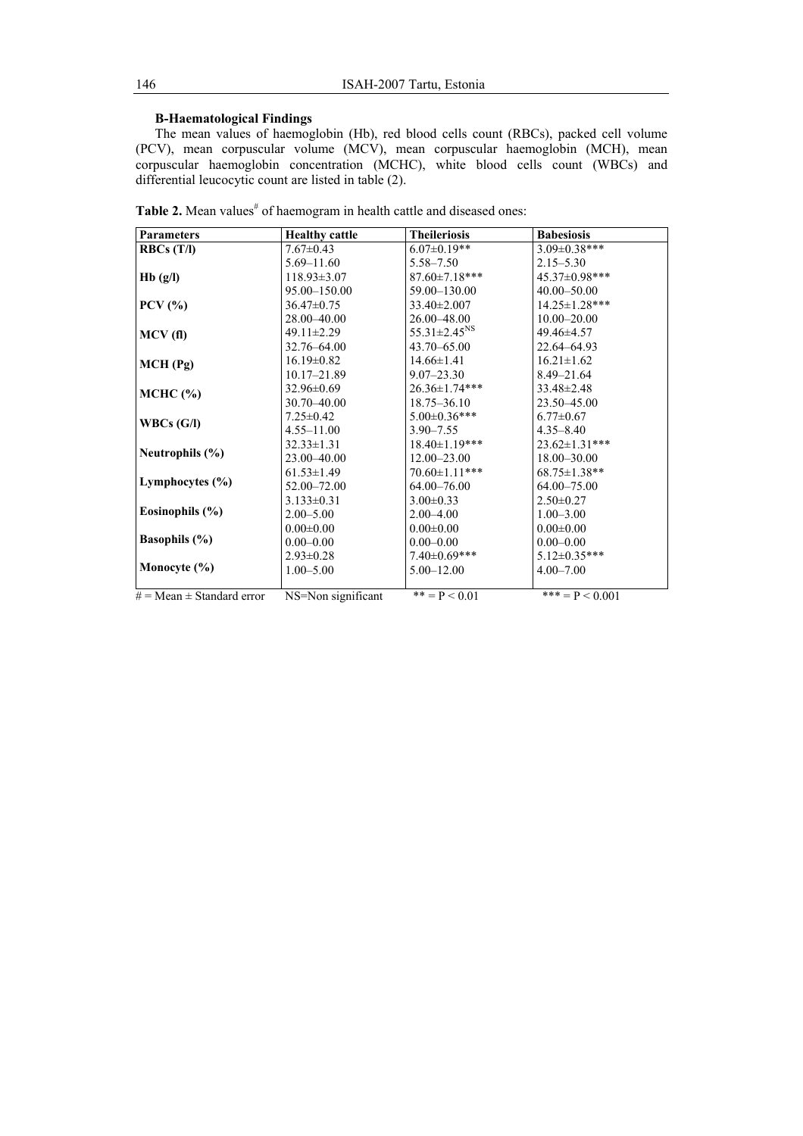# **B-Haematological Findings**

The mean values of haemoglobin (Hb), red blood cells count (RBCs), packed cell volume (PCV), mean corpuscular volume (MCV), mean corpuscular haemoglobin (MCH), mean corpuscular haemoglobin concentration (MCHC), white blood cells count (WBCs) and differential leucocytic count are listed in table (2).

| <b>Parameters</b>                | <b>Healthy cattle</b> | <b>Theileriosis</b>            | <b>Babesiosis</b>    |
|----------------------------------|-----------------------|--------------------------------|----------------------|
| RBCs(T/I)                        | $7.67 \pm 0.43$       | $6.07 \pm 0.19**$              | $3.09 \pm 0.38$ ***  |
|                                  | 5.69–11.60            | $5.58 - 7.50$                  | $2.15 - 5.30$        |
| Hb(g/l)                          | $118.93 \pm 3.07$     | $87.60 \pm 7.18$ ***           | 45.37±0.98***        |
|                                  | 95.00 - 150.00        | 59.00 - 130.00                 | 40.00 - 50.00        |
| $PCV$ $\left(\frac{9}{6}\right)$ | 36.47±0.75            | $33.40 \pm 2.007$              | $14.25 \pm 1.28$ *** |
|                                  | 28.00-40.00           | $26.00 - 48.00$                | $10.00 - 20.00$      |
| MCV(f)                           | $49.11 \pm 2.29$      | $55.31 \pm 2.45$ <sup>NS</sup> | 49.46±4.57           |
|                                  | 32.76–64.00           | $43.70 - 65.00$                | 22.64–64.93          |
| $MCH$ (Pg)                       | $16.19 \pm 0.82$      | $14.66 \pm 1.41$               | $16.21 \pm 1.62$     |
|                                  | 10.17-21.89           | $9.07 - 23.30$                 | $8.49 - 21.64$       |
| $MCHC$ $(\% )$                   | $32.96 \pm 0.69$      | $26.36 \pm 1.74$ ***           | $33.48 \pm 2.48$     |
|                                  | 30.70 - 40.00         | $18.75 - 36.10$                | 23.50–45.00          |
| WBCs(G/I)                        | $7.25 \pm 0.42$       | $5.00 \pm 0.36$ ***            | $6.77 \pm 0.67$      |
|                                  | $4.55 - 11.00$        | $3.90 - 7.55$                  | $4.35 - 8.40$        |
|                                  | $32.33 \pm 1.31$      | $18.40 \pm 1.19$ ***           | $23.62 \pm 1.31$ *** |
| Neutrophils $(\% )$              | 23.00 - 40.00         | $12.00 - 23.00$                | 18.00-30.00          |
|                                  | $61.53 \pm 1.49$      | $70.60 \pm 1.11$ ***           | $68.75 \pm 1.38**$   |
| Lymphocytes $(\% )$              | 52.00-72.00           | $64.00 - 76.00$                | $64.00 - 75.00$      |
|                                  | $3.133 \pm 0.31$      | $3.00 \pm 0.33$                | $2.50 \pm 0.27$      |
| Eosinophils $(\% )$              | $2.00 - 5.00$         | $2.00 - 4.00$                  | $1.00 - 3.00$        |
|                                  | $0.00 \pm 0.00$       | $0.00 \pm 0.00$                | $0.00 \pm 0.00$      |
| <b>Basophils</b> $(\%)$          | $0.00 - 0.00$         | $0.00 - 0.00$                  | $0.00 - 0.00$        |
|                                  | $2.93 \pm 0.28$       | $7.40 \pm 0.69$ ***            | $5.12 \pm 0.35***$   |
| Monocyte $(\% )$                 | $1.00 - 5.00$         | $5.00 - 12.00$                 | $4.00 - 7.00$        |
|                                  |                       |                                |                      |
| $#$ = Mean $\pm$ Standard error  | NS=Non significant    | $*** = P < 0.01$               | *** = $P$ < 0.001    |

Table 2. Mean values<sup>#</sup> of haemogram in health cattle and diseased ones: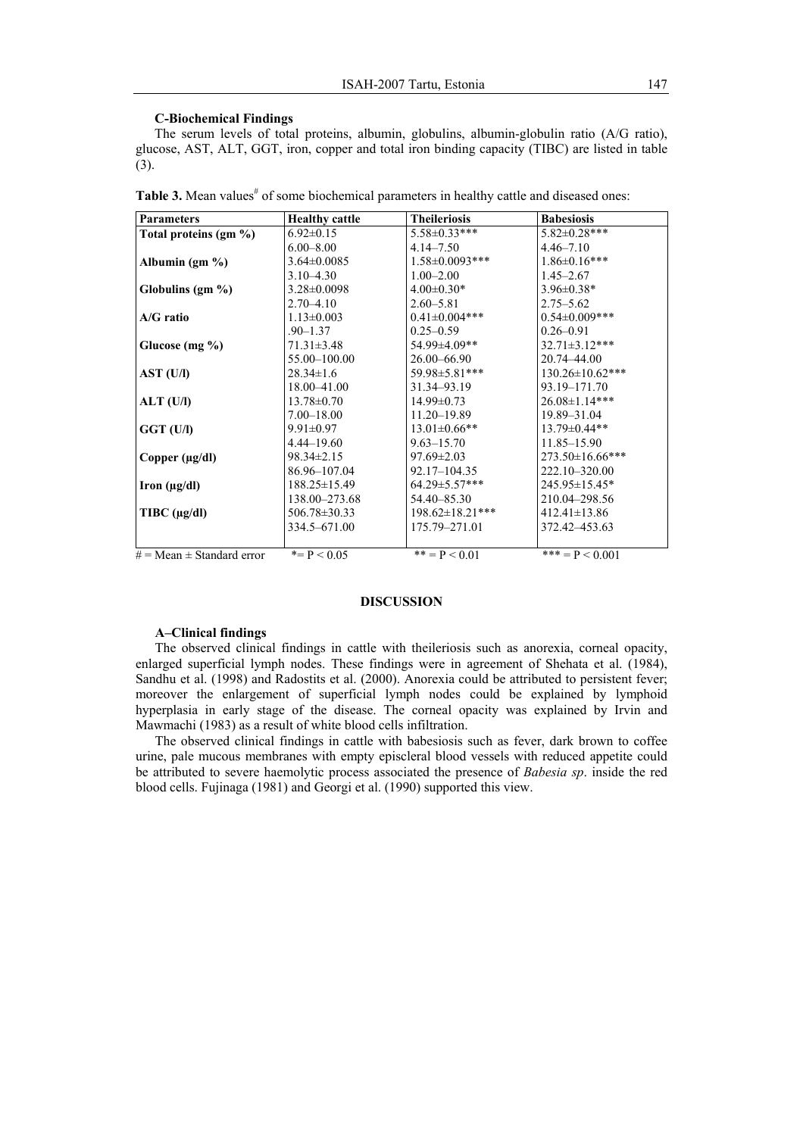### **C-Biochemical Findings**

The serum levels of total proteins, albumin, globulins, albumin-globulin ratio (A/G ratio), glucose, AST, ALT, GGT, iron, copper and total iron binding capacity (TIBC) are listed in table (3).

| <b>Parameters</b>               | <b>Healthy cattle</b> | <b>Theileriosis</b>    | <b>Babesiosis</b>      |
|---------------------------------|-----------------------|------------------------|------------------------|
| Total proteins $(g_m \%)$       | $6.92 \pm 0.15$       | $5.58 \pm 0.33$ ***    | $5.82 \pm 0.28$ ***    |
|                                 | $6.00 - 8.00$         | $4.14 - 7.50$          | $4.46 - 7.10$          |
| Albumin $(gm \% )$              | $3.64 \pm 0.0085$     | $1.58 \pm 0.0093$ ***  | $1.86 \pm 0.16$ ***    |
|                                 | $3.10 - 4.30$         | $1.00 - 2.00$          | $1.45 - 2.67$          |
| Globulins (gm %)                | $3.28 \pm 0.0098$     | $4.00 \pm 0.30*$       | $3.96 \pm 0.38*$       |
|                                 | $2.70 - 4.10$         | $2.60 - 5.81$          | $2.75 - 5.62$          |
| A/G ratio                       | $1.13 \pm 0.003$      | $0.41 \pm 0.004$ ***   | $0.54 \pm 0.009$ ***   |
|                                 | $.90 - 1.37$          | $0.25 - 0.59$          | $0.26 - 0.91$          |
| Glucose (mg %)                  | $71.31 \pm 3.48$      | 54.99±4.09**           | $32.71 \pm 3.12$ ***   |
|                                 | 55.00 - 100.00        | $26.00 - 66.90$        | 20.74-44.00            |
| AST (U/I)                       | $28.34 \pm 1.6$       | 59.98±5.81***          | $130.26 \pm 10.62$ *** |
|                                 | 18.00 - 41.00         | 31.34-93.19            | 93.19-171.70           |
| ALT (U/I)                       | $13.78 \pm 0.70$      | $14.99 \pm 0.73$       | $26.08 \pm 1.14***$    |
|                                 | $7.00 - 18.00$        | 11.20-19.89            | 19.89-31.04            |
| GGT (U/I)                       | $9.91 \pm 0.97$       | $13.01 \pm 0.66$ **    | $13.79 \pm 0.44**$     |
|                                 | $4.44 - 19.60$        | $9.63 - 15.70$         | 11.85–15.90            |
| Copper (µg/dl)                  | 98.34±2.15            | $97.69 \pm 2.03$       | $273.50 \pm 16.66$ *** |
|                                 | 86.96-107.04          | $92.17 - 104.35$       | 222.10-320.00          |
| Iron $(\mu g/dl)$               | $188.25 \pm 15.49$    | $64.29 \pm 5.57$ ***   | 245.95±15.45*          |
|                                 | 138.00–273.68         | 54.40-85.30            | 210.04-298.56          |
| $T\text{IBC}$ ( $\mu$ g/dl)     | 506.78 ± 30.33        | $198.62 \pm 18.21$ *** | $412.41 \pm 13.86$     |
|                                 | 334.5-671.00          | 175.79-271.01          | 372.42–453.63          |
|                                 |                       |                        |                        |
| $#$ = Mean $\pm$ Standard error | $* = P < 0.05$        | $*** = P < 0.01$       | *** = $P$ < 0.001      |

Table 3. Mean values<sup>#</sup> of some biochemical parameters in healthy cattle and diseased ones:

#### **DISCUSSION**

### **A–Clinical findings**

The observed clinical findings in cattle with theileriosis such as anorexia, corneal opacity, enlarged superficial lymph nodes. These findings were in agreement of Shehata et al. (1984), Sandhu et al. (1998) and Radostits et al. (2000). Anorexia could be attributed to persistent fever; moreover the enlargement of superficial lymph nodes could be explained by lymphoid hyperplasia in early stage of the disease. The corneal opacity was explained by Irvin and Mawmachi (1983) as a result of white blood cells infiltration.

The observed clinical findings in cattle with babesiosis such as fever, dark brown to coffee urine, pale mucous membranes with empty episcleral blood vessels with reduced appetite could be attributed to severe haemolytic process associated the presence of *Babesia sp*. inside the red blood cells. Fujinaga (1981) and Georgi et al. (1990) supported this view.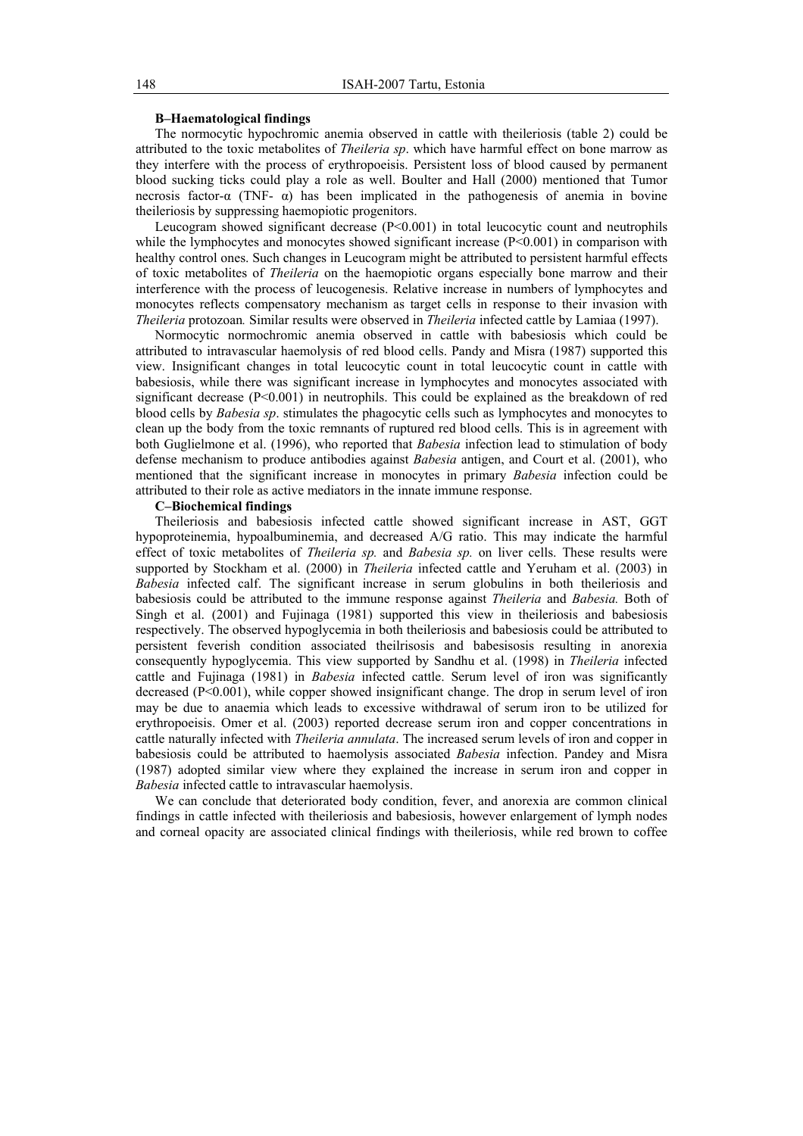### **B–Haematological findings**

The normocytic hypochromic anemia observed in cattle with theileriosis (table 2) could be attributed to the toxic metabolites of *Theileria sp*. which have harmful effect on bone marrow as they interfere with the process of erythropoeisis. Persistent loss of blood caused by permanent blood sucking ticks could play a role as well. Boulter and Hall (2000) mentioned that Tumor necrosis factor-α (TNF- $\alpha$ ) has been implicated in the pathogenesis of anemia in bovine theileriosis by suppressing haemopiotic progenitors.

Leucogram showed significant decrease  $(P< 0.001)$  in total leucocytic count and neutrophils while the lymphocytes and monocytes showed significant increase  $(P< 0.001)$  in comparison with healthy control ones. Such changes in Leucogram might be attributed to persistent harmful effects of toxic metabolites of *Theileria* on the haemopiotic organs especially bone marrow and their interference with the process of leucogenesis. Relative increase in numbers of lymphocytes and monocytes reflects compensatory mechanism as target cells in response to their invasion with *Theileria* protozoan*.* Similar results were observed in *Theileria* infected cattle by Lamiaa (1997).

Normocytic normochromic anemia observed in cattle with babesiosis which could be attributed to intravascular haemolysis of red blood cells. Pandy and Misra (1987) supported this view. Insignificant changes in total leucocytic count in total leucocytic count in cattle with babesiosis, while there was significant increase in lymphocytes and monocytes associated with significant decrease  $(P<0.001)$  in neutrophils. This could be explained as the breakdown of red blood cells by *Babesia sp*. stimulates the phagocytic cells such as lymphocytes and monocytes to clean up the body from the toxic remnants of ruptured red blood cells. This is in agreement with both Guglielmone et al. (1996), who reported that *Babesia* infection lead to stimulation of body defense mechanism to produce antibodies against *Babesia* antigen, and Court et al. (2001), who mentioned that the significant increase in monocytes in primary *Babesia* infection could be attributed to their role as active mediators in the innate immune response.

# **C–Biochemical findings**

Theileriosis and babesiosis infected cattle showed significant increase in AST, GGT hypoproteinemia, hypoalbuminemia, and decreased A/G ratio. This may indicate the harmful effect of toxic metabolites of *Theileria sp.* and *Babesia sp.* on liver cells. These results were supported by Stockham et al. (2000) in *Theileria* infected cattle and Yeruham et al. (2003) in *Babesia* infected calf. The significant increase in serum globulins in both theileriosis and babesiosis could be attributed to the immune response against *Theileria* and *Babesia.* Both of Singh et al. (2001) and Fujinaga (1981) supported this view in theileriosis and babesiosis respectively. The observed hypoglycemia in both theileriosis and babesiosis could be attributed to persistent feverish condition associated theilrisosis and babesisosis resulting in anorexia consequently hypoglycemia. This view supported by Sandhu et al. (1998) in *Theileria* infected cattle and Fujinaga (1981) in *Babesia* infected cattle. Serum level of iron was significantly decreased  $(P<0.001)$ , while copper showed insignificant change. The drop in serum level of iron may be due to anaemia which leads to excessive withdrawal of serum iron to be utilized for erythropoeisis. Omer et al. (2003) reported decrease serum iron and copper concentrations in cattle naturally infected with *Theileria annulata*. The increased serum levels of iron and copper in babesiosis could be attributed to haemolysis associated *Babesia* infection. Pandey and Misra (1987) adopted similar view where they explained the increase in serum iron and copper in *Babesia* infected cattle to intravascular haemolysis.

We can conclude that deteriorated body condition, fever, and anorexia are common clinical findings in cattle infected with theileriosis and babesiosis, however enlargement of lymph nodes and corneal opacity are associated clinical findings with theileriosis, while red brown to coffee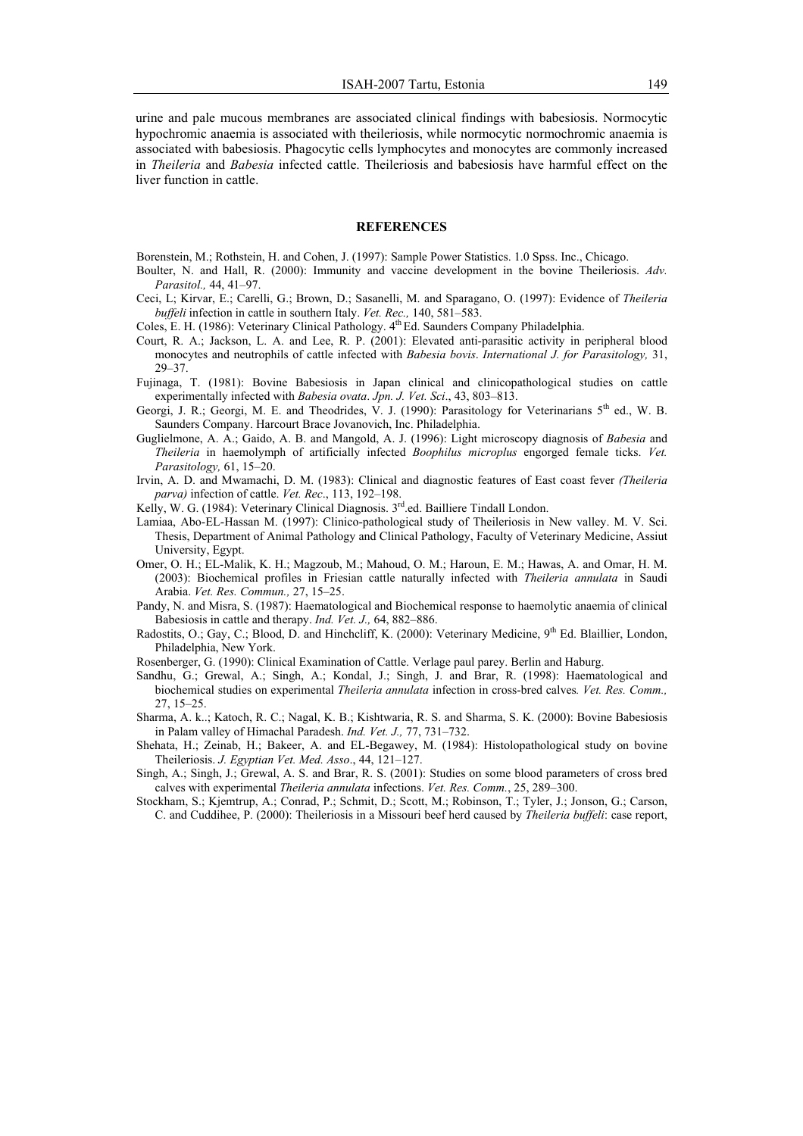urine and pale mucous membranes are associated clinical findings with babesiosis. Normocytic hypochromic anaemia is associated with theileriosis, while normocytic normochromic anaemia is associated with babesiosis. Phagocytic cells lymphocytes and monocytes are commonly increased in *Theileria* and *Babesia* infected cattle. Theileriosis and babesiosis have harmful effect on the liver function in cattle.

### **REFERENCES**

- Borenstein, M.; Rothstein, H. and Cohen, J. (1997): Sample Power Statistics. 1.0 Spss. Inc., Chicago.
- Boulter, N. and Hall, R. (2000): Immunity and vaccine development in the bovine Theileriosis. *Adv. Parasitol.,* 44, 41–97.
- Ceci, L; Kirvar, E.; Carelli, G.; Brown, D.; Sasanelli, M. and Sparagano, O. (1997): Evidence of *Theileria buffeli* infection in cattle in southern Italy. *Vet. Rec.,* 140, 581–583.
- Coles, E. H. (1986): Veterinary Clinical Pathology.  $4<sup>th</sup>$  Ed. Saunders Company Philadelphia.
- Court, R. A.; Jackson, L. A. and Lee, R. P. (2001): Elevated anti-parasitic activity in peripheral blood monocytes and neutrophils of cattle infected with *Babesia bovis*. *International J. for Parasitology,* 31, 29–37.
- Fujinaga, T. (1981): Bovine Babesiosis in Japan clinical and clinicopathological studies on cattle experimentally infected with *Babesia ovata*. *Jpn. J. Vet. Sci*., 43, 803–813.
- Georgi, J. R.; Georgi, M. E. and Theodrides, V. J. (1990): Parasitology for Veterinarians  $5<sup>th</sup>$  ed., W. B. Saunders Company. Harcourt Brace Jovanovich, Inc. Philadelphia.
- Guglielmone, A. A.; Gaido, A. B. and Mangold, A. J. (1996): Light microscopy diagnosis of *Babesia* and *Theileria* in haemolymph of artificially infected *Boophilus microplus* engorged female ticks. *Vet. Parasitology,* 61, 15–20.
- Irvin, A. D. and Mwamachi, D. M. (1983): Clinical and diagnostic features of East coast fever *(Theileria parva)* infection of cattle. *Vet. Rec*., 113, 192–198.
- Kelly, W. G. (1984): Veterinary Clinical Diagnosis. 3<sup>rd</sup>.ed. Bailliere Tindall London.
- Lamiaa, Abo-EL-Hassan M. (1997): Clinico-pathological study of Theileriosis in New valley. M. V. Sci. Thesis, Department of Animal Pathology and Clinical Pathology, Faculty of Veterinary Medicine, Assiut University, Egypt.
- Omer, O. H.; EL-Malik, K. H.; Magzoub, M.; Mahoud, O. M.; Haroun, E. M.; Hawas, A. and Omar, H. M. (2003): Biochemical profiles in Friesian cattle naturally infected with *Theileria annulata* in Saudi Arabia. *Vet. Res. Commun.,* 27, 15–25.
- Pandy, N. and Misra, S. (1987): Haematological and Biochemical response to haemolytic anaemia of clinical Babesiosis in cattle and therapy. *Ind. Vet. J.,* 64, 882–886.
- Radostits, O.; Gay, C.; Blood, D. and Hinchcliff, K. (2000): Veterinary Medicine, 9<sup>th</sup> Ed. Blaillier, London, Philadelphia, New York.
- Rosenberger, G. (1990): Clinical Examination of Cattle. Verlage paul parey. Berlin and Haburg.
- Sandhu, G.; Grewal, A.; Singh, A.; Kondal, J.; Singh, J. and Brar, R. (1998): Haematological and biochemical studies on experimental *Theileria annulata* infection in cross-bred calves*. Vet. Res. Comm.,* 27, 15–25.
- Sharma, A. k..; Katoch, R. C.; Nagal, K. B.; Kishtwaria, R. S. and Sharma, S. K. (2000): Bovine Babesiosis in Palam valley of Himachal Paradesh. *Ind. Vet. J.,* 77, 731–732.
- Shehata, H.; Zeinab, H.; Bakeer, A. and EL-Begawey, M. (1984): Histolopathological study on bovine Theileriosis. *J. Egyptian Vet. Med. Asso*., 44, 121–127.
- Singh, A.; Singh, J.; Grewal, A. S. and Brar, R. S. (2001): Studies on some blood parameters of cross bred calves with experimental *Theileria annulata* infections. *Vet. Res. Comm.*, 25, 289–300.
- Stockham, S.; Kjemtrup, A.; Conrad, P.; Schmit, D.; Scott, M.; Robinson, T.; Tyler, J.; Jonson, G.; Carson, C. and Cuddihee, P. (2000): Theileriosis in a Missouri beef herd caused by *Theileria buffeli*: case report,